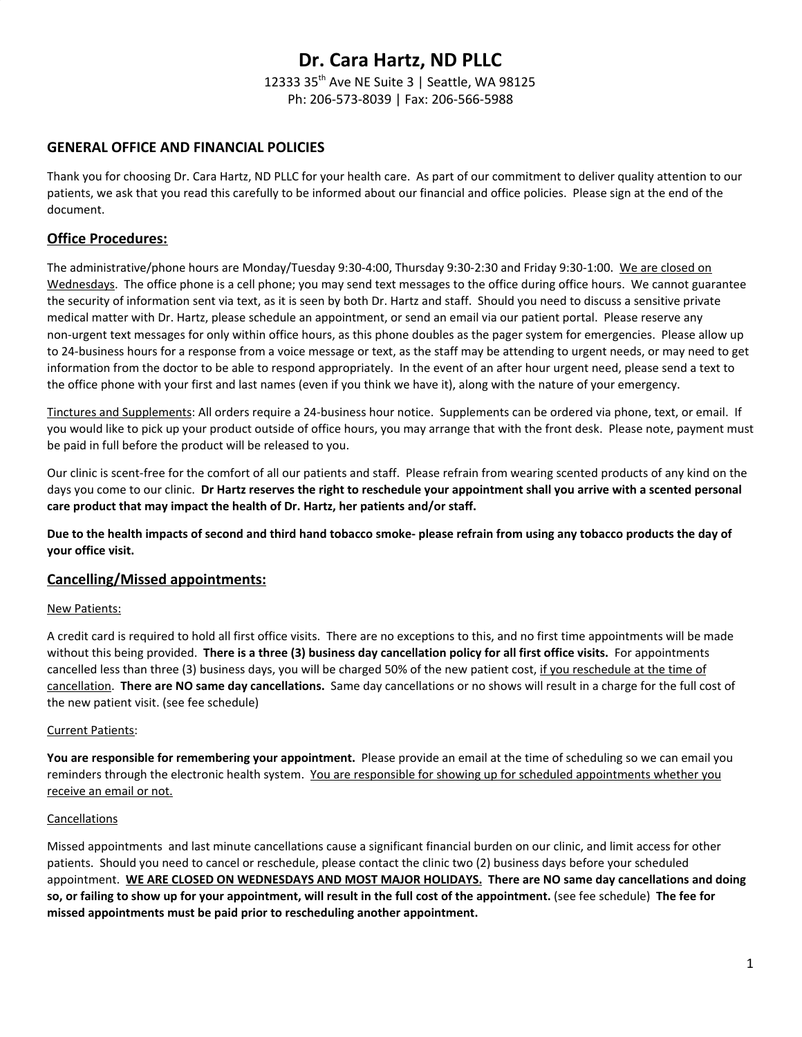# **Dr. Cara Hartz, ND PLLC**

12333 35 th Ave NE Suite 3 | Seattle, WA 98125 Ph: 206-573-8039 | Fax: 206-566-5988

# **GENERAL OFFICE AND FINANCIAL POLICIES**

Thank you for choosing Dr. Cara Hartz, ND PLLC for your health care. As part of our commitment to deliver quality attention to our patients, we ask that you read this carefully to be informed about our financial and office policies. Please sign at the end of the document.

# **Office Procedures:**

The administrative/phone hours are Monday/Tuesday 9:30-4:00, Thursday 9:30-2:30 and Friday 9:30-1:00. We are closed on Wednesdays. The office phone is a cell phone; you may send text messages to the office during office hours. We cannot guarantee the security of information sent via text, as it is seen by both Dr. Hartz and staff. Should you need to discuss a sensitive private medical matter with Dr. Hartz, please schedule an appointment, or send an email via our patient portal. Please reserve any non-urgent text messages for only within office hours, as this phone doubles as the pager system for emergencies. Please allow up to 24-business hours for a response from a voice message or text, as the staff may be attending to urgent needs, or may need to get information from the doctor to be able to respond appropriately. In the event of an after hour urgent need, please send a text to the office phone with your first and last names (even if you think we have it), along with the nature of your emergency.

Tinctures and Supplements: All orders require a 24-business hour notice. Supplements can be ordered via phone, text, or email. If you would like to pick up your product outside of office hours, you may arrange that with the front desk. Please note, payment must be paid in full before the product will be released to you.

Our clinic is scent-free for the comfort of all our patients and staff. Please refrain from wearing scented products of any kind on the days you come to our clinic. Dr Hartz reserves the right to reschedule your appointment shall you arrive with a scented personal **care product that may impact the health of Dr. Hartz, her patients and/or staff.**

Due to the health impacts of second and third hand tobacco smoke-please refrain from using any tobacco products the day of **your office visit.**

# **Cancelling/Missed appointments:**

## New Patients:

A credit card is required to hold all first office visits. There are no exceptions to this, and no first time appointments will be made without this being provided. There is a three (3) business day cancellation policy for all first office visits. For appointments cancelled less than three (3) business days, you will be charged 50% of the new patient cost, if you reschedule at the time of cancellation. **There are NO same day cancellations.** Same day cancellations or no shows will result in a charge for the full cost of the new patient visit. (see fee schedule)

## Current Patients:

**You are responsible for remembering your appointment.** Please provide an email at the time of scheduling so we can email you reminders through the electronic health system. You are responsible for showing up for scheduled appointments whether you receive an email or not.

## Cancellations

Missed appointments and last minute cancellations cause a significant financial burden on our clinic, and limit access for other patients. Should you need to cancel or reschedule, please contact the clinic two (2) business days before your scheduled appointment. WE ARE CLOSED ON WEDNESDAYS AND MOST MAJOR HOLIDAYS. There are NO same day cancellations and doing so, or failing to show up for your appointment, will result in the full cost of the appointment. (see fee schedule) The fee for **missed appointments must be paid prior to rescheduling another appointment.**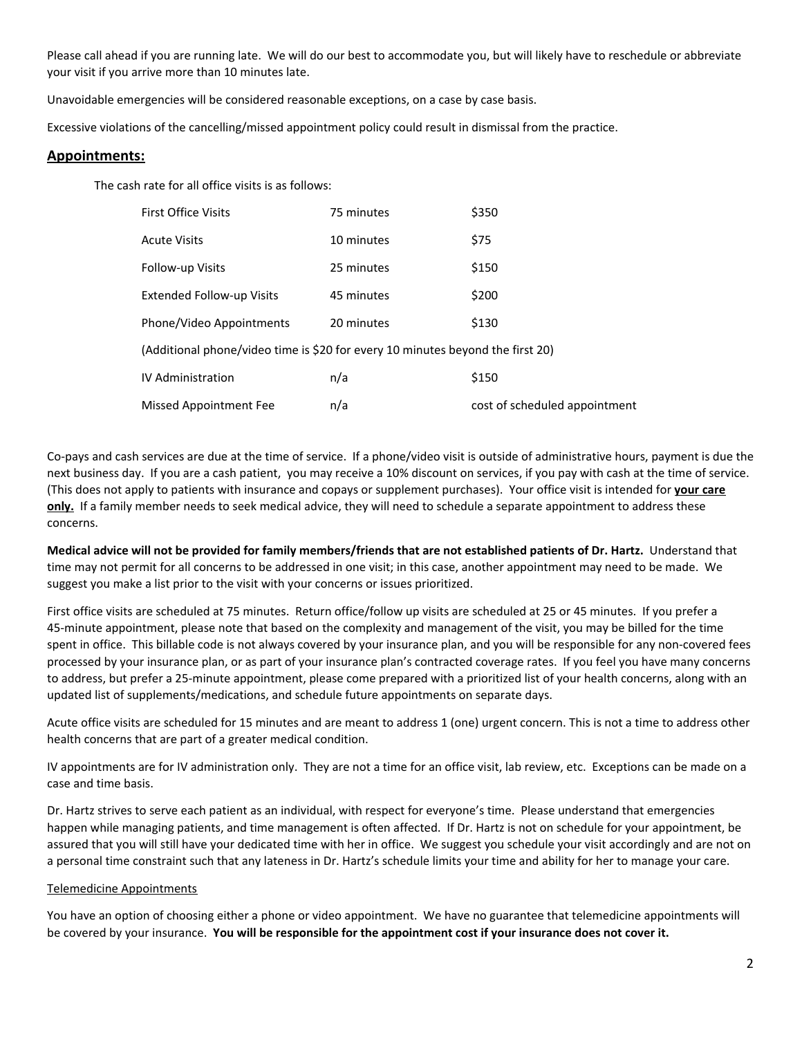Please call ahead if you are running late. We will do our best to accommodate you, but will likely have to reschedule or abbreviate your visit if you arrive more than 10 minutes late.

Unavoidable emergencies will be considered reasonable exceptions, on a case by case basis.

Excessive violations of the cancelling/missed appointment policy could result in dismissal from the practice.

## **Appointments:**

The cash rate for all office visits is as follows:

| <b>First Office Visits</b>                                                     | 75 minutes | \$350                         |
|--------------------------------------------------------------------------------|------------|-------------------------------|
| <b>Acute Visits</b>                                                            | 10 minutes | \$75                          |
| <b>Follow-up Visits</b>                                                        | 25 minutes | \$150                         |
| <b>Extended Follow-up Visits</b>                                               | 45 minutes | \$200                         |
| Phone/Video Appointments                                                       | 20 minutes | \$130                         |
| (Additional phone/video time is \$20 for every 10 minutes beyond the first 20) |            |                               |
| <b>IV Administration</b>                                                       | n/a        | \$150                         |
| Missed Appointment Fee                                                         | n/a        | cost of scheduled appointment |

Co-pays and cash services are due at the time of service. If a phone/video visit is outside of administrative hours, payment is due the next business day. If you are a cash patient, you may receive a 10% discount on services, if you pay with cash at the time of service. (This does not apply to patients with insurance and copays or supplement purchases). Your office visit is intended for **your care only.** If a family member needs to seek medical advice, they will need to schedule a separate appointment to address these concerns.

Medical advice will not be provided for family members/friends that are not established patients of Dr. Hartz. Understand that time may not permit for all concerns to be addressed in one visit; in this case, another appointment may need to be made. We suggest you make a list prior to the visit with your concerns or issues prioritized.

First office visits are scheduled at 75 minutes. Return office/follow up visits are scheduled at 25 or 45 minutes. If you prefer a 45-minute appointment, please note that based on the complexity and management of the visit, you may be billed for the time spent in office. This billable code is not always covered by your insurance plan, and you will be responsible for any non-covered fees processed by your insurance plan, or as part of your insurance plan's contracted coverage rates. If you feel you have many concerns to address, but prefer a 25-minute appointment, please come prepared with a prioritized list of your health concerns, along with an updated list of supplements/medications, and schedule future appointments on separate days.

Acute office visits are scheduled for 15 minutes and are meant to address 1 (one) urgent concern. This is not a time to address other health concerns that are part of a greater medical condition.

IV appointments are for IV administration only. They are not a time for an office visit, lab review, etc. Exceptions can be made on a case and time basis.

Dr. Hartz strives to serve each patient as an individual, with respect for everyone's time. Please understand that emergencies happen while managing patients, and time management is often affected. If Dr. Hartz is not on schedule for your appointment, be assured that you will still have your dedicated time with her in office. We suggest you schedule your visit accordingly and are not on a personal time constraint such that any lateness in Dr. Hartz's schedule limits your time and ability for her to manage your care.

#### Telemedicine Appointments

You have an option of choosing either a phone or video appointment. We have no guarantee that telemedicine appointments will be covered by your insurance. **You will be responsible for the appointment cost if your insurance does not cover it.**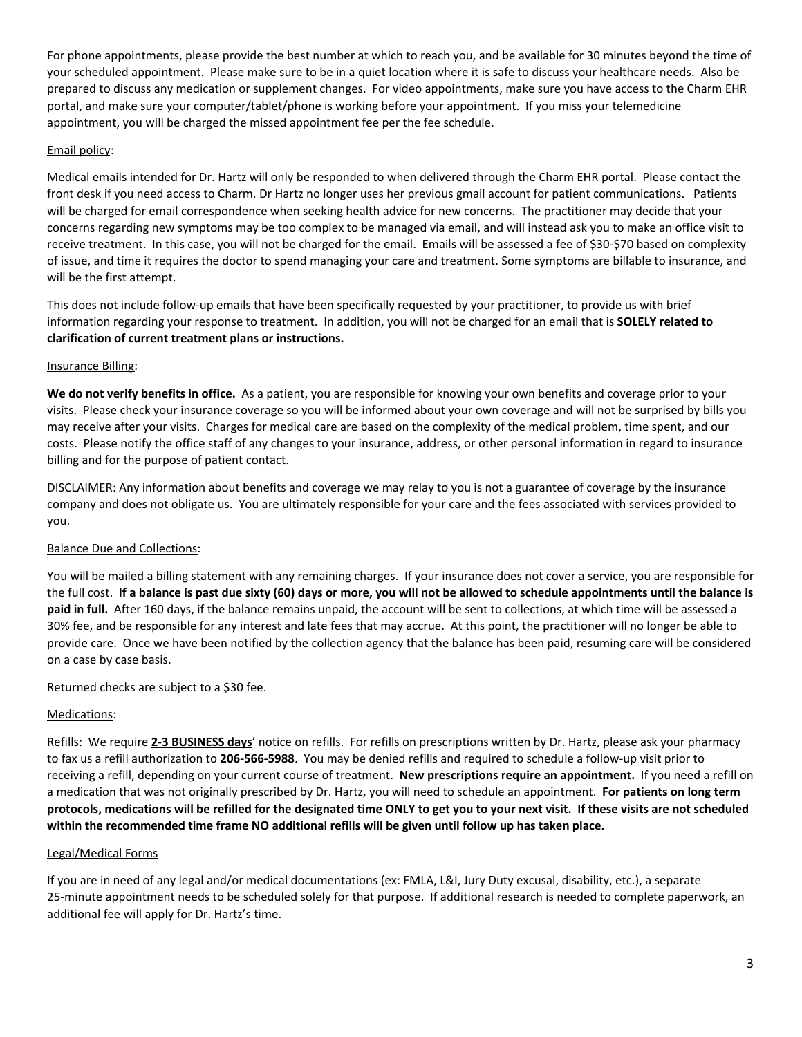For phone appointments, please provide the best number at which to reach you, and be available for 30 minutes beyond the time of your scheduled appointment. Please make sure to be in a quiet location where it is safe to discuss your healthcare needs. Also be prepared to discuss any medication or supplement changes. For video appointments, make sure you have access to the Charm EHR portal, and make sure your computer/tablet/phone is working before your appointment. If you miss your telemedicine appointment, you will be charged the missed appointment fee per the fee schedule.

## Email policy:

Medical emails intended for Dr. Hartz will only be responded to when delivered through the Charm EHR portal. Please contact the front desk if you need access to Charm. Dr Hartz no longer uses her previous gmail account for patient communications. Patients will be charged for email correspondence when seeking health advice for new concerns. The practitioner may decide that your concerns regarding new symptoms may be too complex to be managed via email, and will instead ask you to make an office visit to receive treatment. In this case, you will not be charged for the email. Emails will be assessed a fee of \$30-\$70 based on complexity of issue, and time it requires the doctor to spend managing your care and treatment. Some symptoms are billable to insurance, and will be the first attempt.

This does not include follow-up emails that have been specifically requested by your practitioner, to provide us with brief information regarding your response to treatment. In addition, you will not be charged for an email that is **SOLELY related to clarification of current treatment plans or instructions.**

## Insurance Billing:

**We do not verify benefits in office.** As a patient, you are responsible for knowing your own benefits and coverage prior to your visits. Please check your insurance coverage so you will be informed about your own coverage and will not be surprised by bills you may receive after your visits. Charges for medical care are based on the complexity of the medical problem, time spent, and our costs. Please notify the office staff of any changes to your insurance, address, or other personal information in regard to insurance billing and for the purpose of patient contact.

DISCLAIMER: Any information about benefits and coverage we may relay to you is not a guarantee of coverage by the insurance company and does not obligate us. You are ultimately responsible for your care and the fees associated with services provided to you.

## Balance Due and Collections:

You will be mailed a billing statement with any remaining charges. If your insurance does not cover a service, you are responsible for the full cost. If a balance is past due sixty (60) days or more, you will not be allowed to schedule appointments until the balance is **paid in full.** After 160 days, if the balance remains unpaid, the account will be sent to collections, at which time will be assessed a 30% fee, and be responsible for any interest and late fees that may accrue. At this point, the practitioner will no longer be able to provide care. Once we have been notified by the collection agency that the balance has been paid, resuming care will be considered on a case by case basis.

Returned checks are subject to a \$30 fee.

## Medications:

Refills: We require **2-3 BUSINESS days**' notice on refills. For refills on prescriptions written by Dr. Hartz, please ask your pharmacy to fax us a refill authorization to **206-566-5988**. You may be denied refills and required to schedule a follow-up visit prior to receiving a refill, depending on your current course of treatment. **New prescriptions require an appointment.** If you need a refill on a medication that was not originally prescribed by Dr. Hartz, you will need to schedule an appointment. **For patients on long term** protocols, medications will be refilled for the designated time ONLY to get you to your next visit. If these visits are not scheduled **within the recommended time frame NO additional refills will be given until follow up has taken place.**

## Legal/Medical Forms

If you are in need of any legal and/or medical documentations (ex: FMLA, L&I, Jury Duty excusal, disability, etc.), a separate 25-minute appointment needs to be scheduled solely for that purpose. If additional research is needed to complete paperwork, an additional fee will apply for Dr. Hartz's time.